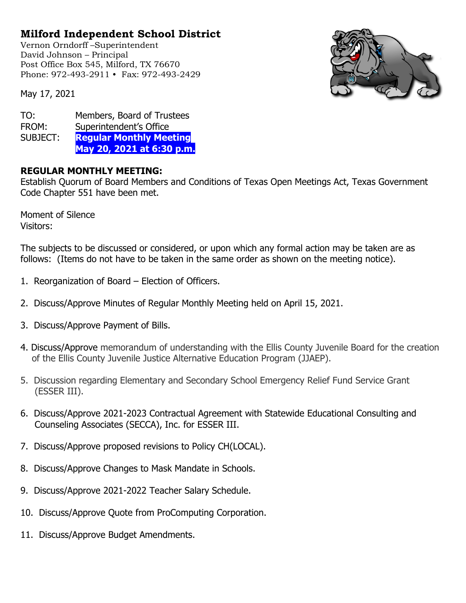## **Milford Independent School District**

Vernon Orndorff –Superintendent David Johnson – Principal Post Office Box 545, Milford, TX 76670 Phone: 972-493-2911 • Fax: 972-493-2429



May 17, 2021

TO: Members, Board of Trustees FROM: Superintendent's Office SUBJECT: **Regular Monthly Meeting May 20, 2021 at 6:30 p.m.**

## **REGULAR MONTHLY MEETING:**

Establish Quorum of Board Members and Conditions of Texas Open Meetings Act, Texas Government Code Chapter 551 have been met.

Moment of Silence Visitors:

The subjects to be discussed or considered, or upon which any formal action may be taken are as follows: (Items do not have to be taken in the same order as shown on the meeting notice).

- 1. Reorganization of Board Election of Officers.
- 2. Discuss/Approve Minutes of Regular Monthly Meeting held on April 15, 2021.
- 3. Discuss/Approve Payment of Bills.
- 4. Discuss/Approve memorandum of understanding with the Ellis County Juvenile Board for the creation of the Ellis County Juvenile Justice Alternative Education Program (JJAEP).
- 5. Discussion regarding Elementary and Secondary School Emergency Relief Fund Service Grant (ESSER III).
- 6. Discuss/Approve 2021-2023 Contractual Agreement with Statewide Educational Consulting and Counseling Associates (SECCA), Inc. for ESSER III.
- 7. Discuss/Approve proposed revisions to Policy CH(LOCAL).
- 8. Discuss/Approve Changes to Mask Mandate in Schools.
- 9. Discuss/Approve 2021-2022 Teacher Salary Schedule.
- 10. Discuss/Approve Quote from ProComputing Corporation.
- 11. Discuss/Approve Budget Amendments.